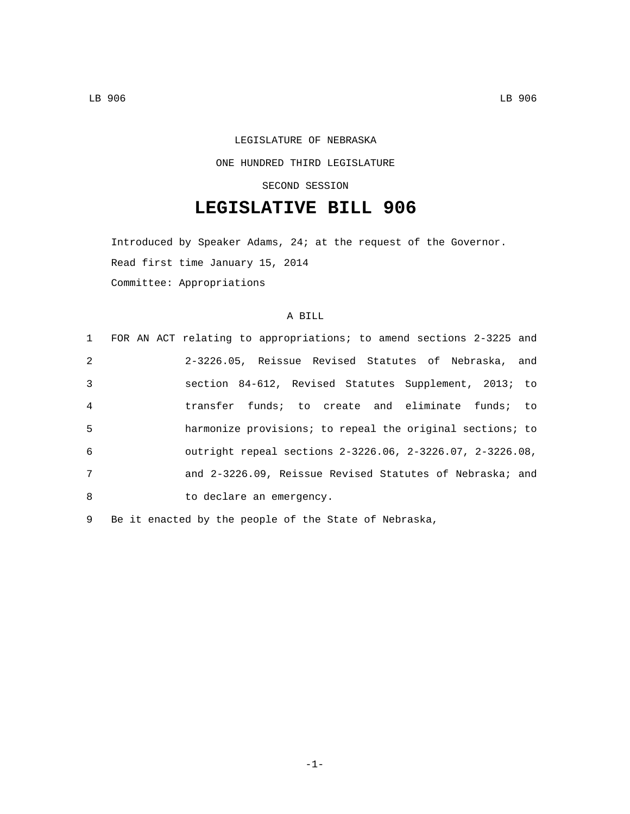# LEGISLATURE OF NEBRASKA

### ONE HUNDRED THIRD LEGISLATURE

#### SECOND SESSION

# **LEGISLATIVE BILL 906**

Introduced by Speaker Adams, 24; at the request of the Governor. Read first time January 15, 2014 Committee: Appropriations

#### A BILL

|                | 1 FOR AN ACT relating to appropriations; to amend sections 2-3225 and |
|----------------|-----------------------------------------------------------------------|
| 2              | 2-3226.05, Reissue Revised Statutes of Nebraska, and                  |
| 3              | section 84-612, Revised Statutes Supplement, 2013; to                 |
| $\overline{4}$ | transfer funds; to create and eliminate funds; to                     |
| 5              | harmonize provisions; to repeal the original sections; to             |
| 6              | outright repeal sections 2-3226.06, 2-3226.07, 2-3226.08,             |
| 7              | and 2-3226.09, Reissue Revised Statutes of Nebraska; and              |
| 8              | to declare an emergency.                                              |

9 Be it enacted by the people of the State of Nebraska,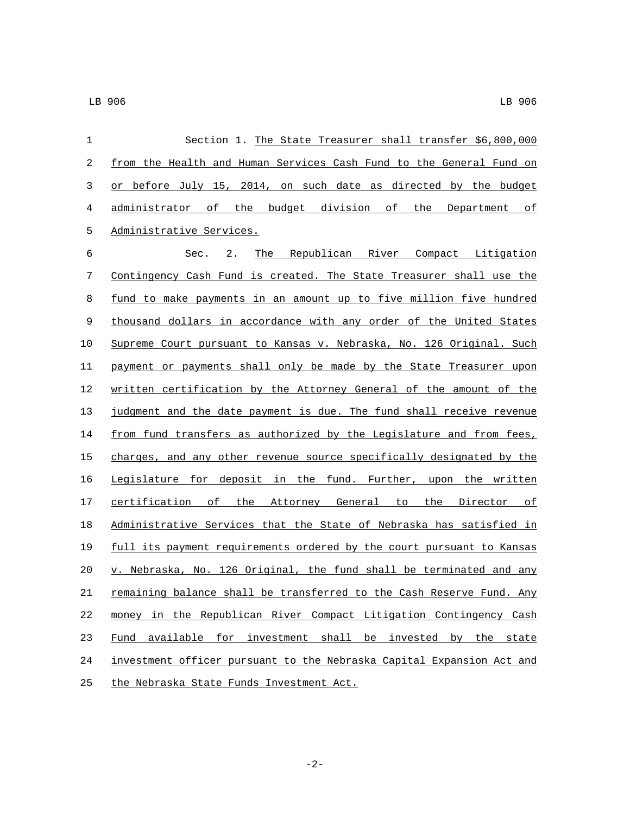| 1  | Section 1. The State Treasurer shall transfer \$6,800,000             |  |  |
|----|-----------------------------------------------------------------------|--|--|
| 2  | from the Health and Human Services Cash Fund to the General Fund on   |  |  |
| 3  | or before July 15, 2014, on such date as directed by the budget       |  |  |
| 4  | administrator of the budget division of the Department of             |  |  |
| 5  | Administrative Services.                                              |  |  |
| 6  | Sec.<br>2.<br>The Republican River Compact Litigation                 |  |  |
| 7  | Contingency Cash Fund is created. The State Treasurer shall use the   |  |  |
| 8  | fund to make payments in an amount up to five million five hundred    |  |  |
| 9  | thousand dollars in accordance with any order of the United States    |  |  |
| 10 | Supreme Court pursuant to Kansas v. Nebraska, No. 126 Original. Such  |  |  |
| 11 | payment or payments shall only be made by the State Treasurer upon    |  |  |
| 12 | written certification by the Attorney General of the amount of the    |  |  |
| 13 | judgment and the date payment is due. The fund shall receive revenue  |  |  |
| 14 | from fund transfers as authorized by the Legislature and from fees,   |  |  |
| 15 | charges, and any other revenue source specifically designated by the  |  |  |
| 16 | Legislature for deposit in the fund. Further, upon the written        |  |  |
| 17 | certification of the Attorney General to the Director of              |  |  |
| 18 | Administrative Services that the State of Nebraska has satisfied in   |  |  |
| 19 | full its payment requirements ordered by the court pursuant to Kansas |  |  |
| 20 | v. Nebraska, No. 126 Original, the fund shall be terminated and any   |  |  |
| 21 | remaining balance shall be transferred to the Cash Reserve Fund. Any  |  |  |
| 22 | money in the Republican River Compact Litigation Contingency Cash     |  |  |
| 23 | available for investment shall be invested by the state<br>Fund       |  |  |
| 24 | investment officer pursuant to the Nebraska Capital Expansion Act and |  |  |
| 25 | the Nebraska State Funds Investment Act.                              |  |  |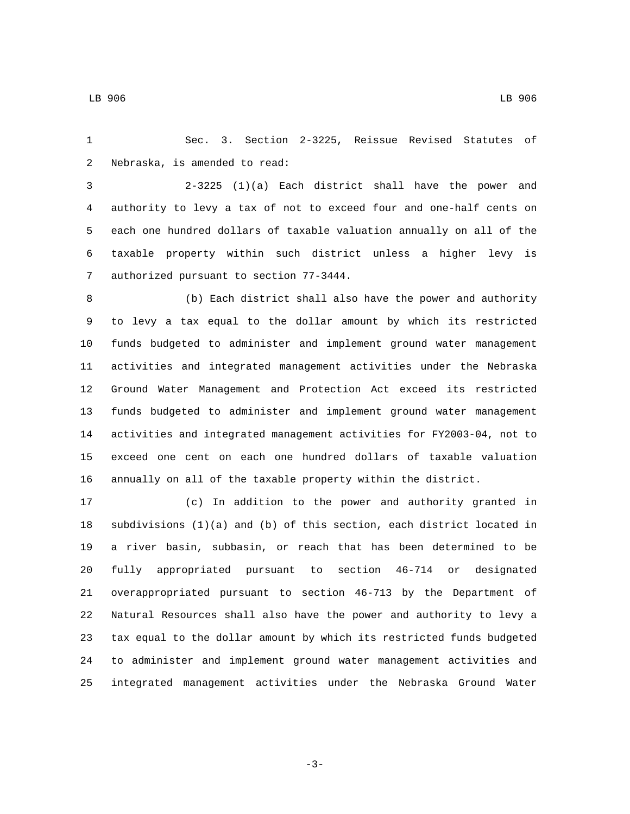Sec. 3. Section 2-3225, Reissue Revised Statutes of 2 Nebraska, is amended to read:

 2-3225 (1)(a) Each district shall have the power and authority to levy a tax of not to exceed four and one-half cents on each one hundred dollars of taxable valuation annually on all of the taxable property within such district unless a higher levy is 7 authorized pursuant to section 77-3444.

 (b) Each district shall also have the power and authority to levy a tax equal to the dollar amount by which its restricted funds budgeted to administer and implement ground water management activities and integrated management activities under the Nebraska Ground Water Management and Protection Act exceed its restricted funds budgeted to administer and implement ground water management activities and integrated management activities for FY2003-04, not to exceed one cent on each one hundred dollars of taxable valuation annually on all of the taxable property within the district.

 (c) In addition to the power and authority granted in subdivisions (1)(a) and (b) of this section, each district located in a river basin, subbasin, or reach that has been determined to be fully appropriated pursuant to section 46-714 or designated overappropriated pursuant to section 46-713 by the Department of Natural Resources shall also have the power and authority to levy a tax equal to the dollar amount by which its restricted funds budgeted to administer and implement ground water management activities and integrated management activities under the Nebraska Ground Water

-3-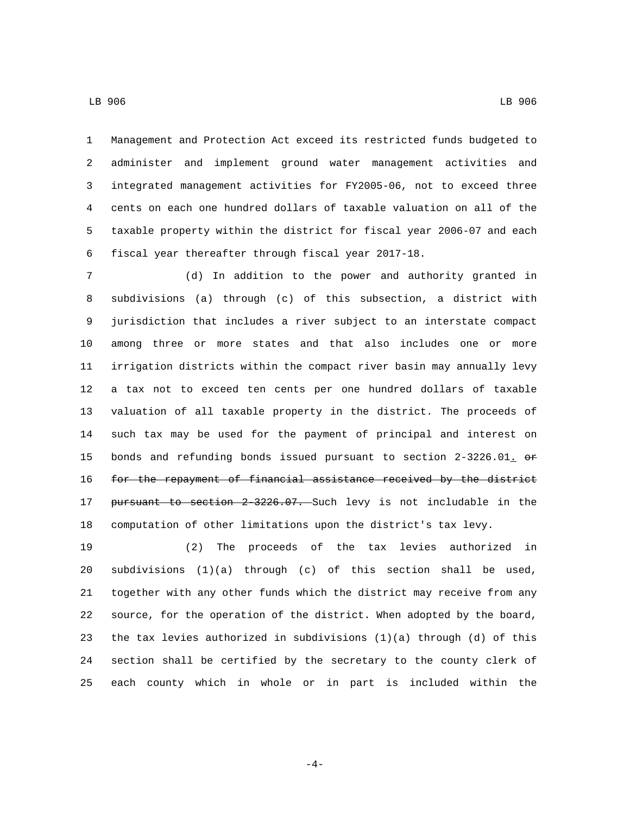Management and Protection Act exceed its restricted funds budgeted to administer and implement ground water management activities and integrated management activities for FY2005-06, not to exceed three cents on each one hundred dollars of taxable valuation on all of the taxable property within the district for fiscal year 2006-07 and each fiscal year thereafter through fiscal year 2017-18.

 (d) In addition to the power and authority granted in subdivisions (a) through (c) of this subsection, a district with jurisdiction that includes a river subject to an interstate compact among three or more states and that also includes one or more irrigation districts within the compact river basin may annually levy a tax not to exceed ten cents per one hundred dollars of taxable valuation of all taxable property in the district. The proceeds of such tax may be used for the payment of principal and interest on 15 bonds and refunding bonds issued pursuant to section 2-3226.01.  $\Theta$ r 16 for the repayment of financial assistance received by the district pursuant to section 2-3226.07. Such levy is not includable in the computation of other limitations upon the district's tax levy.

 (2) The proceeds of the tax levies authorized in subdivisions (1)(a) through (c) of this section shall be used, together with any other funds which the district may receive from any source, for the operation of the district. When adopted by the board, the tax levies authorized in subdivisions (1)(a) through (d) of this section shall be certified by the secretary to the county clerk of each county which in whole or in part is included within the

-4-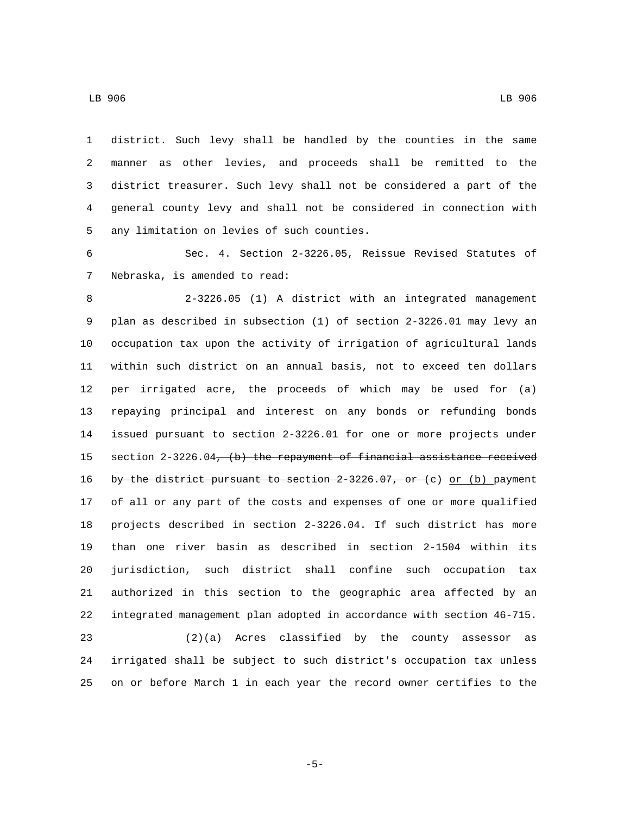district. Such levy shall be handled by the counties in the same manner as other levies, and proceeds shall be remitted to the district treasurer. Such levy shall not be considered a part of the general county levy and shall not be considered in connection with 5 any limitation on levies of such counties.

 Sec. 4. Section 2-3226.05, Reissue Revised Statutes of 7 Nebraska, is amended to read:

 2-3226.05 (1) A district with an integrated management plan as described in subsection (1) of section 2-3226.01 may levy an occupation tax upon the activity of irrigation of agricultural lands within such district on an annual basis, not to exceed ten dollars per irrigated acre, the proceeds of which may be used for (a) repaying principal and interest on any bonds or refunding bonds issued pursuant to section 2-3226.01 for one or more projects under 15 section 2-3226.04, (b) the repayment of financial assistance received 16 by the district pursuant to section  $2-3226.07$ , or (e) or (b) payment of all or any part of the costs and expenses of one or more qualified projects described in section 2-3226.04. If such district has more than one river basin as described in section 2-1504 within its jurisdiction, such district shall confine such occupation tax authorized in this section to the geographic area affected by an integrated management plan adopted in accordance with section 46-715.

 (2)(a) Acres classified by the county assessor as irrigated shall be subject to such district's occupation tax unless on or before March 1 in each year the record owner certifies to the

LB 906 LB 906

-5-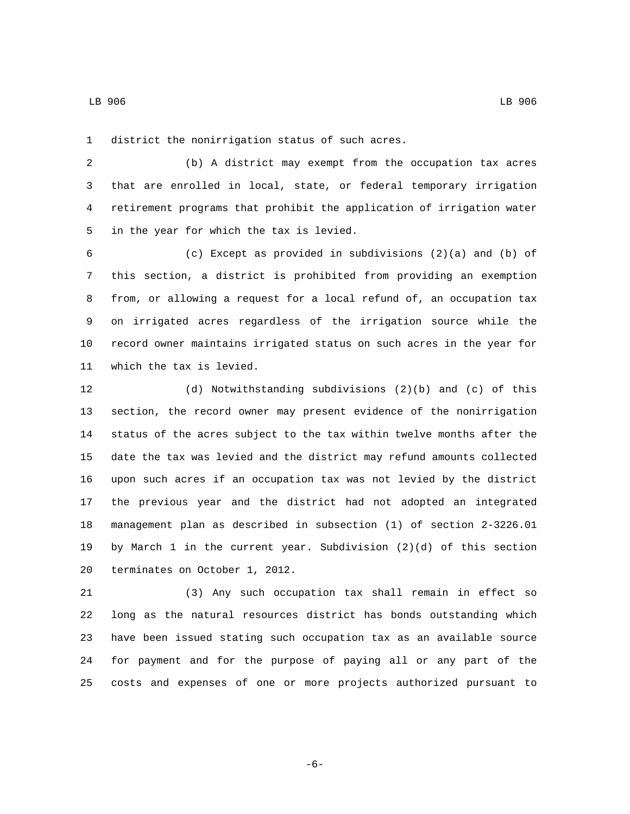1 district the nonirrigation status of such acres.

 (b) A district may exempt from the occupation tax acres that are enrolled in local, state, or federal temporary irrigation retirement programs that prohibit the application of irrigation water 5 in the year for which the tax is levied.

 (c) Except as provided in subdivisions (2)(a) and (b) of this section, a district is prohibited from providing an exemption from, or allowing a request for a local refund of, an occupation tax on irrigated acres regardless of the irrigation source while the record owner maintains irrigated status on such acres in the year for 11 which the tax is levied.

 (d) Notwithstanding subdivisions (2)(b) and (c) of this section, the record owner may present evidence of the nonirrigation status of the acres subject to the tax within twelve months after the date the tax was levied and the district may refund amounts collected upon such acres if an occupation tax was not levied by the district the previous year and the district had not adopted an integrated management plan as described in subsection (1) of section 2-3226.01 by March 1 in the current year. Subdivision (2)(d) of this section 20 terminates on October 1, 2012.

 (3) Any such occupation tax shall remain in effect so long as the natural resources district has bonds outstanding which have been issued stating such occupation tax as an available source for payment and for the purpose of paying all or any part of the costs and expenses of one or more projects authorized pursuant to

-6-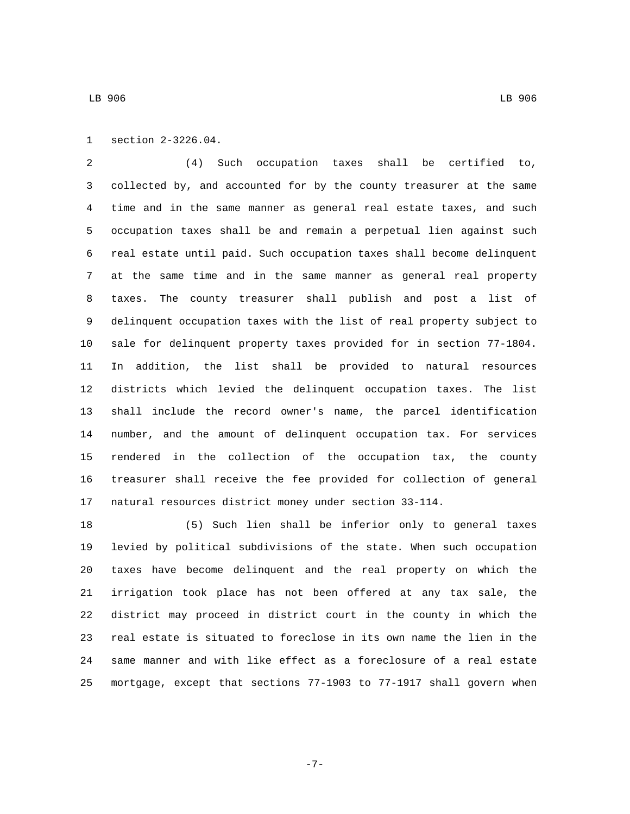1 section 2-3226.04.

 (4) Such occupation taxes shall be certified to, collected by, and accounted for by the county treasurer at the same time and in the same manner as general real estate taxes, and such occupation taxes shall be and remain a perpetual lien against such real estate until paid. Such occupation taxes shall become delinquent at the same time and in the same manner as general real property taxes. The county treasurer shall publish and post a list of delinquent occupation taxes with the list of real property subject to sale for delinquent property taxes provided for in section 77-1804. In addition, the list shall be provided to natural resources districts which levied the delinquent occupation taxes. The list shall include the record owner's name, the parcel identification number, and the amount of delinquent occupation tax. For services rendered in the collection of the occupation tax, the county treasurer shall receive the fee provided for collection of general natural resources district money under section 33-114.

 (5) Such lien shall be inferior only to general taxes levied by political subdivisions of the state. When such occupation taxes have become delinquent and the real property on which the irrigation took place has not been offered at any tax sale, the district may proceed in district court in the county in which the real estate is situated to foreclose in its own name the lien in the same manner and with like effect as a foreclosure of a real estate mortgage, except that sections 77-1903 to 77-1917 shall govern when

-7-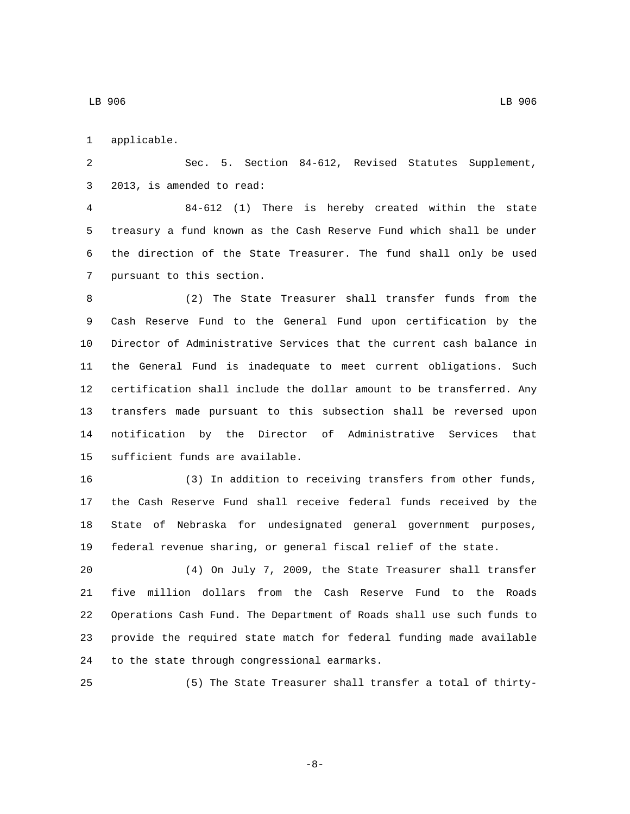1 applicable.

 Sec. 5. Section 84-612, Revised Statutes Supplement, 3 2013, is amended to read:

 84-612 (1) There is hereby created within the state treasury a fund known as the Cash Reserve Fund which shall be under the direction of the State Treasurer. The fund shall only be used 7 pursuant to this section.

 (2) The State Treasurer shall transfer funds from the Cash Reserve Fund to the General Fund upon certification by the Director of Administrative Services that the current cash balance in the General Fund is inadequate to meet current obligations. Such certification shall include the dollar amount to be transferred. Any transfers made pursuant to this subsection shall be reversed upon notification by the Director of Administrative Services that 15 sufficient funds are available.

 (3) In addition to receiving transfers from other funds, the Cash Reserve Fund shall receive federal funds received by the State of Nebraska for undesignated general government purposes, federal revenue sharing, or general fiscal relief of the state.

 (4) On July 7, 2009, the State Treasurer shall transfer five million dollars from the Cash Reserve Fund to the Roads Operations Cash Fund. The Department of Roads shall use such funds to provide the required state match for federal funding made available 24 to the state through congressional earmarks.

(5) The State Treasurer shall transfer a total of thirty-

-8-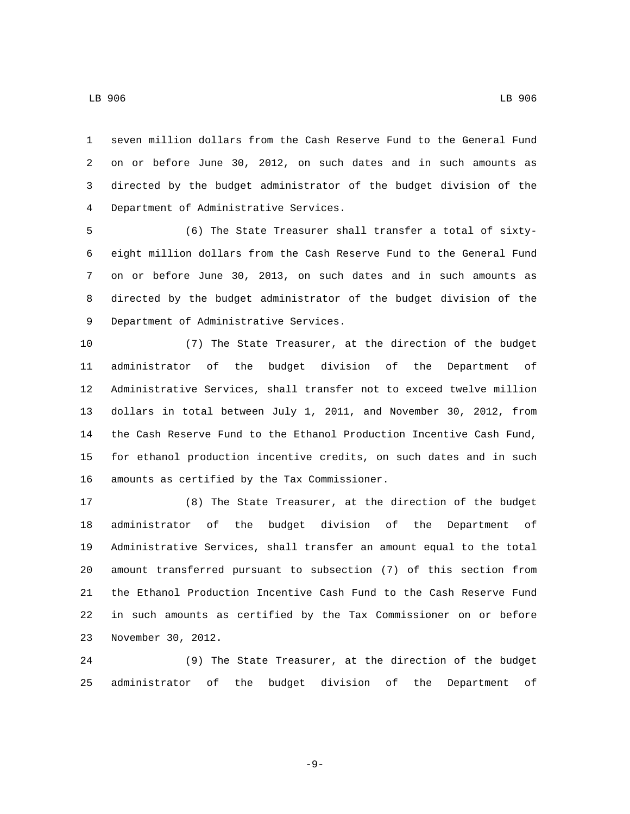LB 906 LB 906

 seven million dollars from the Cash Reserve Fund to the General Fund on or before June 30, 2012, on such dates and in such amounts as directed by the budget administrator of the budget division of the Department of Administrative Services.4

 (6) The State Treasurer shall transfer a total of sixty- eight million dollars from the Cash Reserve Fund to the General Fund on or before June 30, 2013, on such dates and in such amounts as directed by the budget administrator of the budget division of the 9 Department of Administrative Services.

 (7) The State Treasurer, at the direction of the budget administrator of the budget division of the Department of Administrative Services, shall transfer not to exceed twelve million dollars in total between July 1, 2011, and November 30, 2012, from the Cash Reserve Fund to the Ethanol Production Incentive Cash Fund, for ethanol production incentive credits, on such dates and in such 16 amounts as certified by the Tax Commissioner.

 (8) The State Treasurer, at the direction of the budget administrator of the budget division of the Department of Administrative Services, shall transfer an amount equal to the total amount transferred pursuant to subsection (7) of this section from the Ethanol Production Incentive Cash Fund to the Cash Reserve Fund in such amounts as certified by the Tax Commissioner on or before 23 November 30, 2012.

 (9) The State Treasurer, at the direction of the budget administrator of the budget division of the Department of

-9-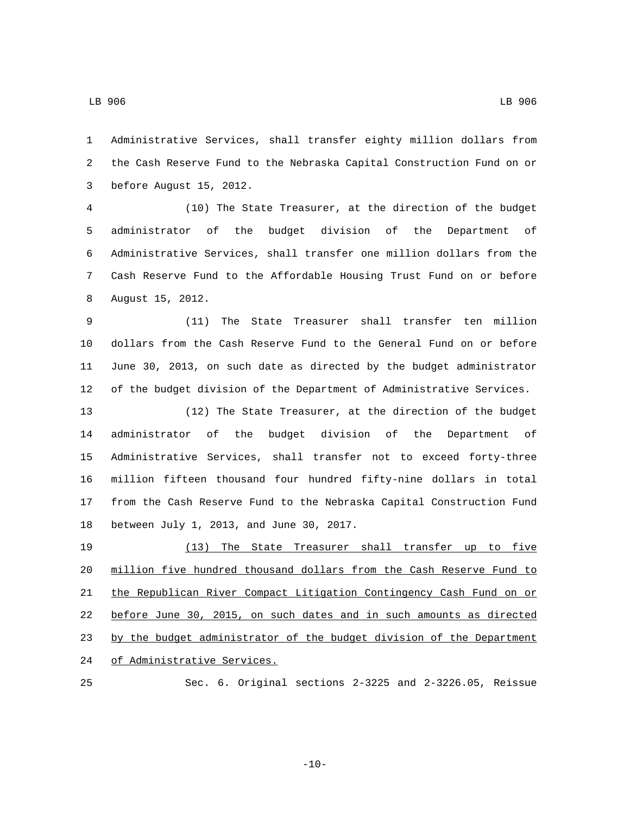Administrative Services, shall transfer eighty million dollars from the Cash Reserve Fund to the Nebraska Capital Construction Fund on or 3 before August 15, 2012.

 (10) The State Treasurer, at the direction of the budget administrator of the budget division of the Department of Administrative Services, shall transfer one million dollars from the Cash Reserve Fund to the Affordable Housing Trust Fund on or before 8 August 15, 2012.

 (11) The State Treasurer shall transfer ten million dollars from the Cash Reserve Fund to the General Fund on or before June 30, 2013, on such date as directed by the budget administrator of the budget division of the Department of Administrative Services.

 (12) The State Treasurer, at the direction of the budget administrator of the budget division of the Department of Administrative Services, shall transfer not to exceed forty-three million fifteen thousand four hundred fifty-nine dollars in total from the Cash Reserve Fund to the Nebraska Capital Construction Fund 18 between July 1, 2013, and June 30, 2017.

 (13) The State Treasurer shall transfer up to five million five hundred thousand dollars from the Cash Reserve Fund to the Republican River Compact Litigation Contingency Cash Fund on or before June 30, 2015, on such dates and in such amounts as directed 23 by the budget administrator of the budget division of the Department 24 of Administrative Services.

Sec. 6. Original sections 2-3225 and 2-3226.05, Reissue

-10-